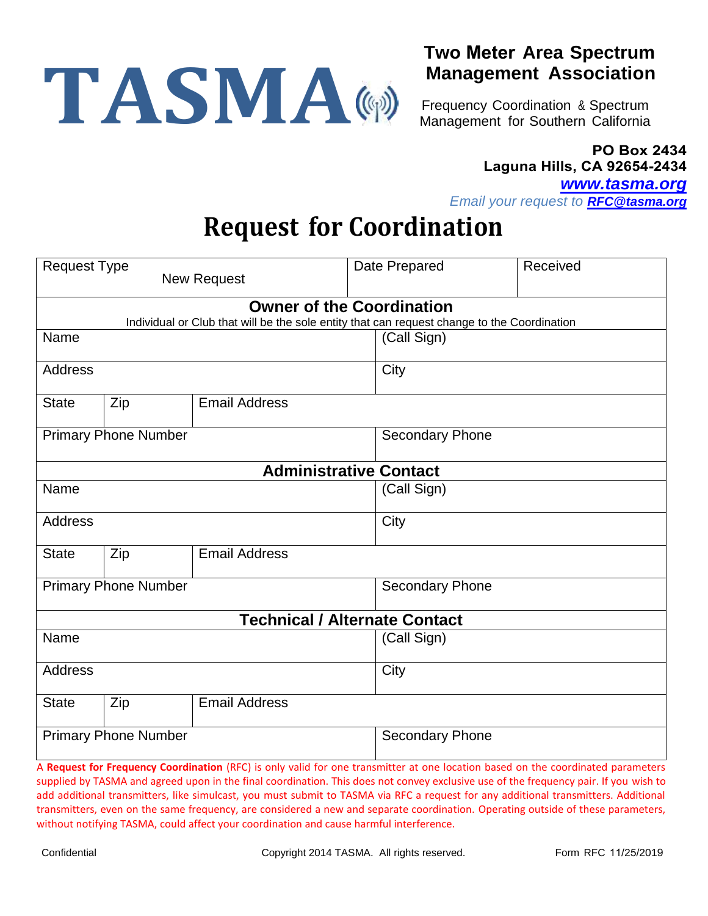

## **Two Meter Area Spectrum Management Association**

Frequency Coordination & Spectrum Management for Southern California

## **PO Box 2434 Laguna Hills, CA 92654-2434**

*[www.tasma.org](http://www.tasma.org/)*

*Email your request to [RFC@tasma.org](mailto:RFC@tasma.org?subject=RFC)*

## **Request for Coordination**

| <b>Request Type</b>                                                                         |     |                                                                                                                                  |                        | Date Prepared          | Received |  |  |
|---------------------------------------------------------------------------------------------|-----|----------------------------------------------------------------------------------------------------------------------------------|------------------------|------------------------|----------|--|--|
| <b>New Request</b>                                                                          |     |                                                                                                                                  |                        |                        |          |  |  |
| <b>Owner of the Coordination</b>                                                            |     |                                                                                                                                  |                        |                        |          |  |  |
| Individual or Club that will be the sole entity that can request change to the Coordination |     |                                                                                                                                  |                        |                        |          |  |  |
| Name                                                                                        |     |                                                                                                                                  |                        | (Call Sign)            |          |  |  |
| Address                                                                                     |     |                                                                                                                                  |                        | City                   |          |  |  |
| <b>State</b>                                                                                | Zip | <b>Email Address</b>                                                                                                             |                        |                        |          |  |  |
| <b>Primary Phone Number</b>                                                                 |     |                                                                                                                                  | <b>Secondary Phone</b> |                        |          |  |  |
| <b>Administrative Contact</b>                                                               |     |                                                                                                                                  |                        |                        |          |  |  |
| Name                                                                                        |     |                                                                                                                                  |                        | (Call Sign)            |          |  |  |
| Address                                                                                     |     |                                                                                                                                  | City                   |                        |          |  |  |
| <b>State</b>                                                                                | Zip | <b>Email Address</b>                                                                                                             |                        |                        |          |  |  |
| <b>Primary Phone Number</b>                                                                 |     |                                                                                                                                  |                        | <b>Secondary Phone</b> |          |  |  |
|                                                                                             |     | <b>Technical / Alternate Contact</b>                                                                                             |                        |                        |          |  |  |
| Name                                                                                        |     |                                                                                                                                  |                        | (Call Sign)            |          |  |  |
| <b>Address</b>                                                                              |     |                                                                                                                                  |                        | City                   |          |  |  |
| <b>State</b>                                                                                | Zip | <b>Email Address</b>                                                                                                             |                        |                        |          |  |  |
| <b>Primary Phone Number</b>                                                                 |     |                                                                                                                                  |                        | <b>Secondary Phone</b> |          |  |  |
|                                                                                             |     | A Request for Frequency Coordination (REC) is only valid for one transmitter at one location based on the coordinated parameters |                        |                        |          |  |  |

**st for Frequency Coordination** (RFC) is only valid for one transmitter at one location based on the coordinated parameters supplied by TASMA and agreed upon in the final coordination. This does not convey exclusive use of the frequency pair. If you wish to add additional transmitters, like simulcast, you must submit to TASMA via RFC a request for any additional transmitters. Additional transmitters, even on the same frequency, are considered a new and separate coordination. Operating outside of these parameters, without notifying TASMA, could affect your coordination and cause harmful interference.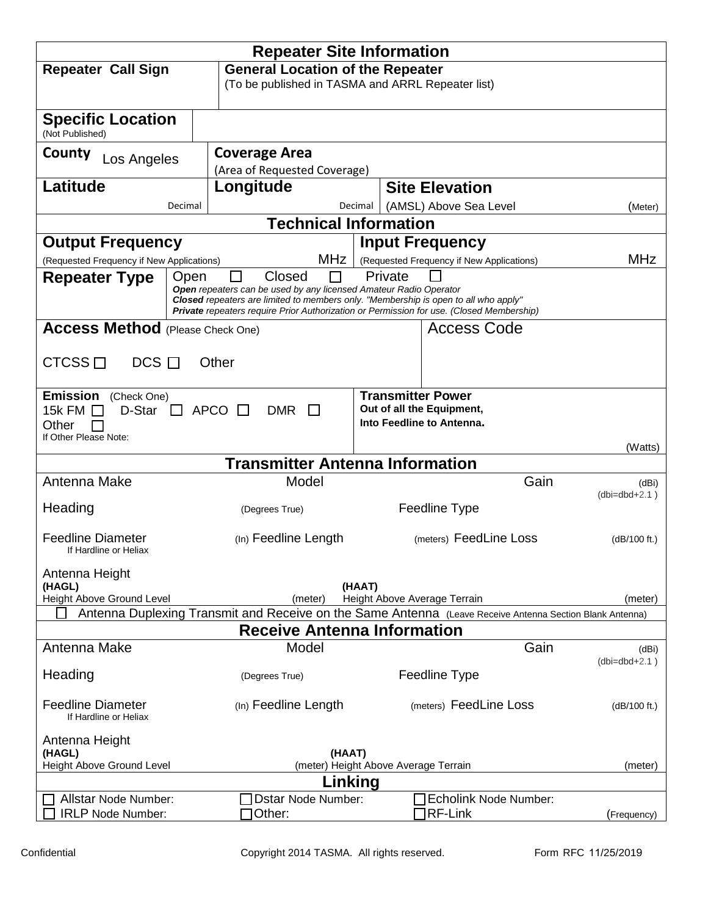|                                                   | <b>Repeater Site Information</b>                                  |                                                                                                                                          |                          |  |  |  |
|---------------------------------------------------|-------------------------------------------------------------------|------------------------------------------------------------------------------------------------------------------------------------------|--------------------------|--|--|--|
| <b>Repeater Call Sign</b>                         |                                                                   | <b>General Location of the Repeater</b>                                                                                                  |                          |  |  |  |
|                                                   |                                                                   | (To be published in TASMA and ARRL Repeater list)                                                                                        |                          |  |  |  |
| <b>Specific Location</b>                          |                                                                   |                                                                                                                                          |                          |  |  |  |
| (Not Published)                                   |                                                                   |                                                                                                                                          |                          |  |  |  |
| County<br>Los Angeles                             | <b>Coverage Area</b>                                              |                                                                                                                                          |                          |  |  |  |
|                                                   | (Area of Requested Coverage)                                      |                                                                                                                                          |                          |  |  |  |
| Latitude                                          | Longitude                                                         | <b>Site Elevation</b>                                                                                                                    |                          |  |  |  |
| Decimal                                           | <b>Technical Information</b>                                      | Decimal<br>(AMSL) Above Sea Level                                                                                                        | (Meter)                  |  |  |  |
| <b>Output Frequency</b>                           |                                                                   | <b>Input Frequency</b>                                                                                                                   |                          |  |  |  |
| (Requested Frequency if New Applications)         | <b>MHz</b>                                                        | (Requested Frequency if New Applications)                                                                                                | MHz                      |  |  |  |
| <b>Repeater Type</b><br>Open                      | Closed                                                            | Private                                                                                                                                  |                          |  |  |  |
|                                                   | Open repeaters can be used by any licensed Amateur Radio Operator | <b>Closed</b> repeaters are limited to members only. "Membership is open to all who apply"                                               |                          |  |  |  |
|                                                   |                                                                   | <b>Private</b> repeaters require Prior Authorization or Permission for use. (Closed Membership)                                          |                          |  |  |  |
| <b>Access Method</b> (Please Check One)           |                                                                   | Access Code                                                                                                                              |                          |  |  |  |
| CTCSS $\Box$<br>$DCS$ $\Box$                      | Other                                                             |                                                                                                                                          |                          |  |  |  |
|                                                   |                                                                   |                                                                                                                                          |                          |  |  |  |
| <b>Emission</b><br>(Check One)                    |                                                                   | <b>Transmitter Power</b>                                                                                                                 |                          |  |  |  |
| D-Star<br>15k FM $\Box$                           | <b>APCO</b><br><b>DMR</b><br>$\perp$<br>$\mathbf{1}$              | Out of all the Equipment,                                                                                                                |                          |  |  |  |
| Other<br>If Other Please Note:                    |                                                                   | Into Feedline to Antenna.                                                                                                                |                          |  |  |  |
|                                                   |                                                                   |                                                                                                                                          | (Watts)                  |  |  |  |
| Antenna Make                                      | <b>Transmitter Antenna Information</b><br>Model                   | Gain                                                                                                                                     |                          |  |  |  |
|                                                   |                                                                   |                                                                                                                                          | (dBi)<br>$(dbi=dbd+2.1)$ |  |  |  |
| Heading                                           | (Degrees True)                                                    | Feedline Type                                                                                                                            |                          |  |  |  |
| <b>Feedline Diameter</b>                          | (In) Feedline Length                                              | (meters) FeedLine Loss                                                                                                                   | (dB/100 ft.)             |  |  |  |
| If Hardline or Heliax                             |                                                                   |                                                                                                                                          |                          |  |  |  |
| Antenna Height                                    |                                                                   |                                                                                                                                          |                          |  |  |  |
| (HAGL)                                            |                                                                   | (HAAT)                                                                                                                                   |                          |  |  |  |
| <b>Height Above Ground Level</b>                  | (meter)                                                           | Height Above Average Terrain<br>Antenna Duplexing Transmit and Receive on the Same Antenna (Leave Receive Antenna Section Blank Antenna) | (meter)                  |  |  |  |
|                                                   | <b>Receive Antenna Information</b>                                |                                                                                                                                          |                          |  |  |  |
| Antenna Make                                      | Model                                                             | Gain                                                                                                                                     | (dBi)                    |  |  |  |
| Heading                                           | (Degrees True)                                                    | Feedline Type                                                                                                                            | $(dbi=dbd+2.1)$          |  |  |  |
|                                                   |                                                                   |                                                                                                                                          |                          |  |  |  |
| <b>Feedline Diameter</b><br>If Hardline or Heliax | (In) Feedline Length                                              | (meters) FeedLine Loss                                                                                                                   | (dB/100 ft.)             |  |  |  |
| Antenna Height                                    |                                                                   |                                                                                                                                          |                          |  |  |  |
| (HAGL)<br>Height Above Ground Level               |                                                                   | (HAAT)<br>(meter) Height Above Average Terrain                                                                                           |                          |  |  |  |
| (meter)<br>Linking                                |                                                                   |                                                                                                                                          |                          |  |  |  |
| Allstar Node Number:                              | Dstar Node Number:                                                | Echolink Node Number:                                                                                                                    |                          |  |  |  |
| <b>IRLP Node Number:</b>                          | 70ther:                                                           | RF-Link                                                                                                                                  | (Frequency)              |  |  |  |